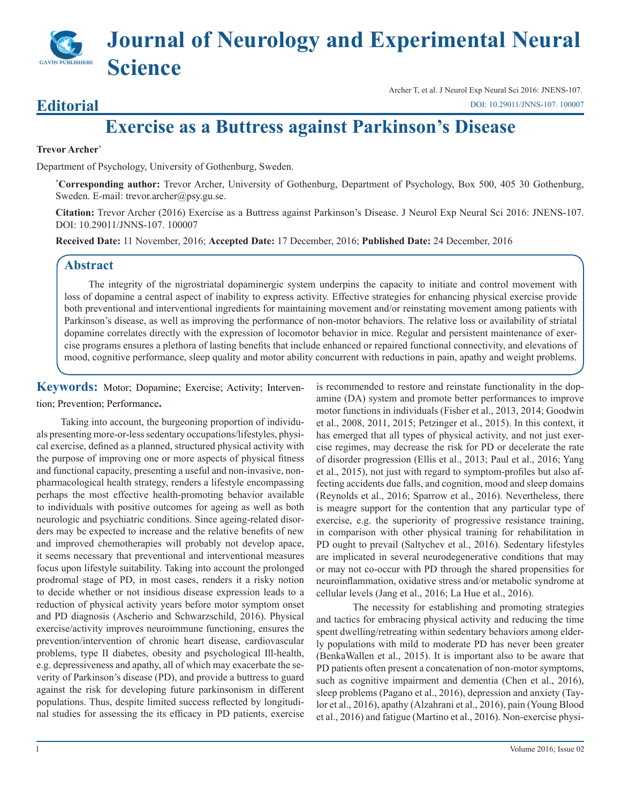# **Journal of Neurology and Experimental Neural Science**

### **Editorial**

Archer T, et al. J Neurol Exp Neural Sci 2016: JNENS-107. [DOI: 10.29011/JNNS-107. 100007](http://doi.org/10.29011/JNNS-107. 100007)

## **Exercise as a Buttress against Parkinson's Disease**

#### **Trevor Archer\***

Department of Psychology, University of Gothenburg, Sweden.

**\* Corresponding author:** Trevor Archer, University of Gothenburg, Department of Psychology, Box 500, 405 30 Gothenburg, Sweden. E-mail: trevor.archer@psy.gu.se.

**Citation:** Trevor Archer (2016) Exercise as a Buttress against Parkinson's Disease. J Neurol Exp Neural Sci 2016: JNENS-107. DOI: 10.29011/JNNS-107. 100007

**Received Date:** 11 November, 2016; **Accepted Date:** 17 December, 2016; **Published Date:** 24 December, 2016

#### **Abstract**

The integrity of the nigrostriatal dopaminergic system underpins the capacity to initiate and control movement with loss of dopamine a central aspect of inability to express activity. Effective strategies for enhancing physical exercise provide both preventional and interventional ingredients for maintaining movement and/or reinstating movement among patients with Parkinson's disease, as well as improving the performance of non-motor behaviors. The relative loss or availability of striatal dopamine correlates directly with the expression of locomotor behavior in mice. Regular and persistent maintenance of exercise programs ensures a plethora of lasting benefits that include enhanced or repaired functional connectivity, and elevations of mood, cognitive performance, sleep quality and motor ability concurrent with reductions in pain, apathy and weight problems.

#### **Keywords:** Motor; Dopamine; Exercise; Activity; Intervention; Prevention; Performance**.**

Taking into account, the burgeoning proportion of individuals presenting more-or-less sedentary occupations/lifestyles, physical exercise, defined as a planned, structured physical activity with the purpose of improving one or more aspects of physical fitness and functional capacity, presenting a useful and non-invasive, nonpharmacological health strategy, renders a lifestyle encompassing perhaps the most effective health-promoting behavior available to individuals with positive outcomes for ageing as well as both neurologic and psychiatric conditions. Since ageing-related disorders may be expected to increase and the relative benefits of new and improved chemotherapies will probably not develop apace, it seems necessary that preventional and interventional measures focus upon lifestyle suitability. Taking into account the prolonged prodromal stage of PD, in most cases, renders it a risky notion to decide whether or not insidious disease expression leads to a reduction of physical activity years before motor symptom onset and PD diagnosis (Ascherio and Schwarzschild, 2016). Physical exercise/activity improves neuroimmune functioning, ensures the prevention/intervention of chronic heart disease, cardiovascular problems, type II diabetes, obesity and psychological Ill-health, e.g. depressiveness and apathy, all of which may exacerbate the severity of Parkinson's disease (PD), and provide a buttress to guard against the risk for developing future parkinsonism in different populations. Thus, despite limited success reflected by longitudinal studies for assessing the its efficacy in PD patients, exercise

is recommended to restore and reinstate functionality in the dopamine (DA) system and promote better performances to improve motor functions in individuals (Fisher et al., 2013, 2014; Goodwin et al., 2008, 2011, 2015; Petzinger et al., 2015). In this context, it has emerged that all types of physical activity, and not just exercise regimes, may decrease the risk for PD or decelerate the rate of disorder progression (Ellis et al., 2013; Paul et al., 2016; Yang et al., 2015), not just with regard to symptom-profiles but also affecting accidents due falls, and cognition, mood and sleep domains (Reynolds et al., 2016; Sparrow et al., 2016). Nevertheless, there is meagre support for the contention that any particular type of exercise, e.g. the superiority of progressive resistance training, in comparison with other physical training for rehabilitation in PD ought to prevail (Saltychev et al., 2016). Sedentary lifestyles are implicated in several neurodegenerative conditions that may or may not co-occur with PD through the shared propensities for neuroinflammation, oxidative stress and/or metabolic syndrome at cellular levels (Jang et al., 2016; La Hue et al., 2016).

The necessity for establishing and promoting strategies and tactics for embracing physical activity and reducing the time spent dwelling/retreating within sedentary behaviors among elderly populations with mild to moderate PD has never been greater (BenkaWallen et al., 2015). It is important also to be aware that PD patients often present a concatenation of non-motor symptoms, such as cognitive impairment and dementia (Chen et al., 2016), sleep problems (Pagano et al., 2016), depression and anxiety (Taylor et al., 2016), apathy (Alzahrani et al., 2016), pain (Young Blood et al., 2016) and fatigue (Martino et al., 2016). Non-exercise physi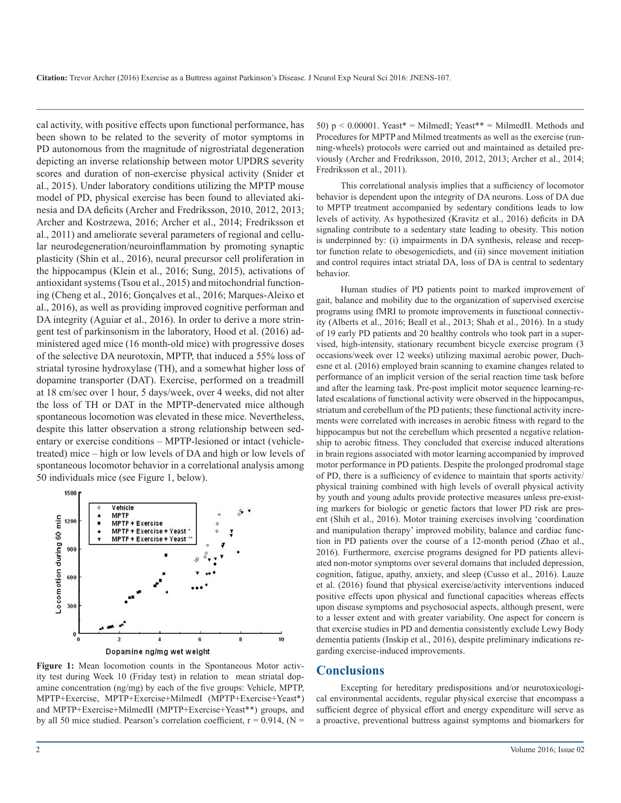**Citation:** Trevor Archer (2016) Exercise as a Buttress against Parkinson's Disease. J Neurol Exp Neural Sci 2016: JNENS-107.

cal activity, with positive effects upon functional performance, has been shown to be related to the severity of motor symptoms in PD autonomous from the magnitude of nigrostriatal degeneration depicting an inverse relationship between motor UPDRS severity scores and duration of non-exercise physical activity (Snider et al., 2015). Under laboratory conditions utilizing the MPTP mouse model of PD, physical exercise has been found to alleviated akinesia and DA deficits (Archer and Fredriksson, 2010, 2012, 2013; Archer and Kostrzewa, 2016; Archer et al., 2014; Fredriksson et al., 2011) and ameliorate several parameters of regional and cellular neurodegeneration/neuroinflammation by promoting synaptic plasticity (Shin et al., 2016), neural precursor cell proliferation in the hippocampus (Klein et al., 2016; Sung, 2015), activations of antioxidant systems (Tsou et al., 2015) and mitochondrial functioning (Cheng et al., 2016; Gonçalves et al., 2016; Marques-Aleixo et al., 2016), as well as providing improved cognitive performan and DA integrity (Aguiar et al., 2016). In order to derive a more stringent test of parkinsonism in the laboratory, Hood et al. (2016) administered aged mice (16 month-old mice) with progressive doses of the selective DA neurotoxin, MPTP, that induced a 55% loss of striatal tyrosine hydroxylase (TH), and a somewhat higher loss of dopamine transporter (DAT). Exercise, performed on a treadmill at 18 cm/sec over 1 hour, 5 days/week, over 4 weeks, did not alter the loss of TH or DAT in the MPTP-denervated mice although spontaneous locomotion was elevated in these mice. Nevertheless, despite this latter observation a strong relationship between sedentary or exercise conditions – MPTP-lesioned or intact (vehicletreated) mice – high or low levels of DA and high or low levels of spontaneous locomotor behavior in a correlational analysis among 50 individuals mice (see Figure 1, below).



**Figure 1:** Mean locomotion counts in the Spontaneous Motor activity test during Week 10 (Friday test) in relation to mean striatal dopamine concentration (ng/mg) by each of the five groups: Vehicle, MPTP, MPTP+Exercise, MPTP+Exercise+MilmedI (MPTP+Exercise+Yeast\*) and MPTP+Exercise+MilmedII (MPTP+Exercise+Yeast\*\*) groups, and by all 50 mice studied. Pearson's correlation coefficient,  $r = 0.914$ , (N =

50)  $p < 0.00001$ . Yeast\* = MilmedI; Yeast\*\* = MilmedII. Methods and Procedures for MPTP and Milmed treatments as well as the exercise (running-wheels) protocols were carried out and maintained as detailed previously (Archer and Fredriksson, 2010, 2012, 2013; Archer et al., 2014; Fredriksson et al., 2011).

This correlational analysis implies that a sufficiency of locomotor behavior is dependent upon the integrity of DA neurons. Loss of DA due to MPTP treatment accompanied by sedentary conditions leads to low levels of activity. As hypothesized (Kravitz et al., 2016) deficits in DA signaling contribute to a sedentary state leading to obesity. This notion is underpinned by: (i) impairments in DA synthesis, release and receptor function relate to obesogenicdiets, and (ii) since movement initiation and control requires intact striatal DA, loss of DA is central to sedentary behavior.

Human studies of PD patients point to marked improvement of gait, balance and mobility due to the organization of supervised exercise programs using fMRI to promote improvements in functional connectivity (Alberts et al., 2016; Beall et al., 2013; Shah et al., 2016). In a study of 19 early PD patients and 20 healthy controls who took part in a supervised, high-intensity, stationary recumbent bicycle exercise program (3 occasions/week over 12 weeks) utilizing maximal aerobic power, Duchesne et al. (2016) employed brain scanning to examine changes related to performance of an implicit version of the serial reaction time task before and after the learning task. Pre-post implicit motor sequence learning-related escalations of functional activity were observed in the hippocampus, striatum and cerebellum of the PD patients; these functional activity increments were correlated with increases in aerobic fitness with regard to the hippocampus but not the cerebellum which presented a negative relationship to aerobic fitness. They concluded that exercise induced alterations in brain regions associated with motor learning accompanied by improved motor performance in PD patients. Despite the prolonged prodromal stage of PD, there is a sufficiency of evidence to maintain that sports activity/ physical training combined with high levels of overall physical activity by youth and young adults provide protective measures unless pre-existing markers for biologic or genetic factors that lower PD risk are present (Shih et al., 2016). Motor training exercises involving 'coordination and manipulation therapy' improved mobility, balance and cardiac function in PD patients over the course of a 12-month period (Zhao et al., 2016). Furthermore, exercise programs designed for PD patients alleviated non-motor symptoms over several domains that included depression, cognition, fatigue, apathy, anxiety, and sleep (Cusso et al., 2016). Lauze et al. (2016) found that physical exercise/activity interventions induced positive effects upon physical and functional capacities whereas effects upon disease symptoms and psychosocial aspects, although present, were to a lesser extent and with greater variability. One aspect for concern is that exercise studies in PD and dementia consistently exclude Lewy Body dementia patients (Inskip et al., 2016), despite preliminary indications regarding exercise-induced improvements.

#### **Conclusions**

Excepting for hereditary predispositions and/or neurotoxicological environmental accidents, regular physical exercise that encompass a sufficient degree of physical effort and energy expenditure will serve as a proactive, preventional buttress against symptoms and biomarkers for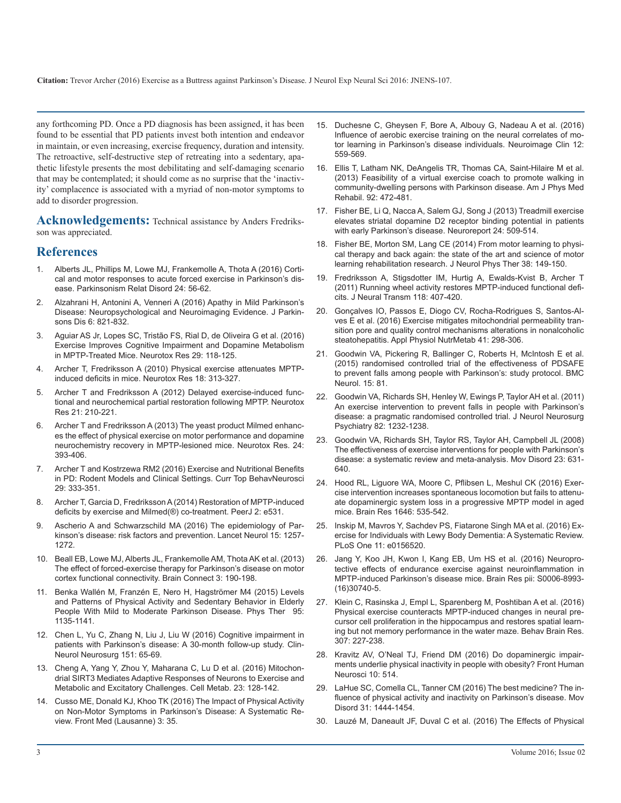**Citation:** [Trevor Archer \(2016\) Exercise as a Buttress against Parkinson's Disease. J Neurol Exp Neural Sci 2016: JNENS-107.](http://www.ncbi.nlm.nih.gov/pubmed/)

any forthcoming PD. Once a PD diagnosis has been assigned, it has been [found to be essential that PD patients invest both intention and endeavor](http://www.sciencedirect.com/science/article/pii/S2213158216301693)  in maintain, or even increasing, exercise frequency, duration and intensity. The retroactive, self-destructive step of retreating into a sedentary, apathetic lifestyle presents the most debilitating and self-damaging scenario that may be contemplated; it should come as no surprise that the 'inactivity' complacence is associated with a myriad of non-motor symptoms to add to disorder progression.

**Acknowledgements:** Technical assistance by Anders Fredriksson was appreciated.

#### **References**

- 1. [Alberts JL, Phillips M, Lowe MJ, Frankemolle A, Thota A \(2016\) Corti](http://www.prd-journal.com/article/S1353-8020(16)30015-3/abstract)[cal and motor responses to acute forced exercise in Parkinson's dis](http://www.prd-journal.com/article/S1353-8020(16)30015-3/abstract)[ease. Parkinsonism Relat Disord 24: 56-62.](http://www.prd-journal.com/article/S1353-8020(16)30015-3/abstract)
- 2. [Alzahrani H, Antonini A, Venneri A \(2016\) Apathy in Mild Parkinson's](http://www.ncbi.nlm.nih.gov/pubmed/) [Disease: Neuropsychological and Neuroimaging Evidence. J Parkin](http://www.ncbi.nlm.nih.gov/pubmed/)[sons Dis 6: 821-832.](http://www.ncbi.nlm.nih.gov/pubmed/)
- 3. [Aguiar AS Jr, Lopes SC, Tristão FS, Rial D, de Oliveira G et al. \(2016\)](http://www.ncbi.nlm.nih.gov/pubmed/) [Exercise Improves Cognitive Impairment and Dopamine Metabolism](http://www.ncbi.nlm.nih.gov/pubmed/)  [in MPTP-Treated Mice. Neurotox Res 29: 118-125.](http://www.ncbi.nlm.nih.gov/pubmed/)
- 4. [Archer T, Fredriksson A \(2010\) Physical exercise attenuates MPTP](http://www.ncbi.nlm.nih.gov/pubmed/)[induced deficits in mice. Neurotox Res 18: 313-327.](http://www.ncbi.nlm.nih.gov/pubmed/)
- 5. [Archer T and Fredriksson A \(2012\) Delayed exercise-induced func](http://link.springer.com/article/10.1007/s12640-011-9261-z)[tional and neurochemical partial restoration following MPTP. Neurotox](http://link.springer.com/article/10.1007/s12640-011-9261-z)  [Res 21: 210-221.](http://link.springer.com/article/10.1007/s12640-011-9261-z)
- 6. [Archer T and Fredriksson A \(2013\) The yeast product Milmed enhanc](http://link.springer.com/article/10.1007/s12640-013-9405-4)[es the effect of physical exercise on motor performance and dopamine](http://link.springer.com/article/10.1007/s12640-013-9405-4)  [neurochemistry recovery in MPTP-lesioned mice. Neurotox Res. 24:](http://link.springer.com/article/10.1007/s12640-013-9405-4) [393-406.](http://link.springer.com/article/10.1007/s12640-013-9405-4)
- 7. [Archer T and Kostrzewa RM2 \(2016\) Exercise and Nutritional Benefits](http://www.ncbi.nlm.nih.gov/pubmed/)  [in PD: Rodent Models and Clinical Settings. Curr Top BehavNeurosci](http://www.ncbi.nlm.nih.gov/pubmed/)  [29: 333-351.](http://www.ncbi.nlm.nih.gov/pubmed/)
- 8. [Archer T, Garcia D, Fredriksson A \(2014\) Restoration of MPTP-induced](http://www.ncbi.nlm.nih.gov/pubmed/)  [deficits by exercise and Milmed\(®\) co-treatment. PeerJ 2: e531.](http://www.ncbi.nlm.nih.gov/pubmed/)
- 9. [Ascherio A and Schwarzschild MA \(2016\) The epidemiology of Par](http://www.ncbi.nlm.nih.gov/pubmed/)[kinson's disease: risk factors and prevention. Lancet Neurol 15: 1257-](http://www.ncbi.nlm.nih.gov/pubmed/) [1272.](http://www.ncbi.nlm.nih.gov/pubmed/)
- 10. [Beall EB, Lowe MJ, Alberts JL, Frankemolle AM, Thota AK et al. \(2013\)](http://online.liebertpub.com/doi/abs/10.1089/brain.2012.0104)  [The effect of forced-exercise therapy for Parkinson's disease on motor](http://online.liebertpub.com/doi/abs/10.1089/brain.2012.0104) [cortex functional connectivity. Brain Connect 3: 190-198.](http://online.liebertpub.com/doi/abs/10.1089/brain.2012.0104)
- 11. [Benka Wallén M, Franzén E, Nero H, Hagströmer M4 \(2015\) Levels](http://www.ncbi.nlm.nih.gov/pubmed/)  [and Patterns of Physical Activity and Sedentary Behavior in Elderly](http://www.ncbi.nlm.nih.gov/pubmed/)  [People With Mild to Moderate Parkinson Disease. Phys Ther 95:](http://www.ncbi.nlm.nih.gov/pubmed/) [1135-1141.](http://www.ncbi.nlm.nih.gov/pubmed/)
- 12. [Chen L, Yu C, Zhang N, Liu J, Liu W \(2016\) Cognitive impairment in](http://www.ncbi.nlm.nih.gov/pubmed/)  [patients with Parkinson's disease: A 30-month follow-up study. Clin-](http://www.ncbi.nlm.nih.gov/pubmed/)[Neurol Neurosurg 151: 65-69.](http://www.ncbi.nlm.nih.gov/pubmed/)
- 13. [Cheng A, Yang Y, Zhou Y, Maharana C, Lu D et al. \(2016\) Mitochon](http://www.sciencedirect.com/science/article/pii/S155041311500529X)[drial SIRT3 Mediates Adaptive Responses of Neurons to Exercise and](http://www.sciencedirect.com/science/article/pii/S155041311500529X)  [Metabolic and Excitatory Challenges. Cell Metab. 23: 128-142.](http://www.sciencedirect.com/science/article/pii/S155041311500529X)
- 14. [Cusso ME, Donald KJ, Khoo TK \(2016\) The Impact of Physical Activity](http://www.ncbi.nlm.nih.gov/pubmed/)  [on Non-Motor Symptoms in Parkinson's Disease: A Systematic Re](http://www.ncbi.nlm.nih.gov/pubmed/)[view. Front Med \(Lausanne\) 3: 35.](http://www.ncbi.nlm.nih.gov/pubmed/)
- 15. [Duchesne C, Gheysen F, Bore A, Albouy G, Nadeau A et al. \(2016\)](http://www.sciencedirect.com/science/article/pii/S2213158216301693)  Influence of aerobic exercise training on the neural correlates of mo[tor learning in Parkinson's disease individuals. Neuroimage Clin 12:](http://www.sciencedirect.com/science/article/pii/S2213158216301693)  [559-569.](http://www.sciencedirect.com/science/article/pii/S2213158216301693)
- 16. Ellis T, Latham NK, DeAngelis TR, Thomas CA, Saint-Hilaire M et al. (2013) Feasibility of a virtual exercise coach to promote walking in community-dwelling persons with Parkinson disease. Am J Phys Med Rehabil. 92: 472-481.
- 17. [Fisher BE, Li Q, Nacca A, Salem GJ, Song J \(2013\) Treadmill exercise](http://journals.lww.com/neuroreport/Abstract/2013/07100/Treadmill_exercise_elevates_striatal_dopamine_D2.3.aspx) [elevates striatal dopamine D2 receptor binding potential in patients](http://journals.lww.com/neuroreport/Abstract/2013/07100/Treadmill_exercise_elevates_striatal_dopamine_D2.3.aspx)  [with early Parkinson's disease. Neuroreport 24: 509-514.](http://journals.lww.com/neuroreport/Abstract/2013/07100/Treadmill_exercise_elevates_striatal_dopamine_D2.3.aspx)
- 18. [Fisher BE, Morton SM, Lang CE \(2014\) From motor learning to physi](http://europepmc.org/articles/pmc4061220)[cal therapy and back again: the state of the art and science of motor](http://europepmc.org/articles/pmc4061220) [learning rehabilitation research. J Neurol Phys Ther 38: 149-150.](http://europepmc.org/articles/pmc4061220)
- 19. [Fredriksson A, Stigsdotter IM, Hurtig A, Ewalds-Kvist B, Archer T](http://link.springer.com/article/10.1007/s00702-010-0474-8)  [\(2011\) Running wheel activity restores MPTP-induced functional defi](http://link.springer.com/article/10.1007/s00702-010-0474-8)[cits. J Neural Transm 118: 407-420.](http://link.springer.com/article/10.1007/s00702-010-0474-8)
- 20. [Gonçalves IO, Passos E, Diogo CV, Rocha-Rodrigues S, Santos-Al](http://www.nrcresearchpress.com/doi/abs/10.1139/apnm-2015-0470)[ves E et al. \(2016\) Exercise mitigates mitochondrial permeability tran](http://www.nrcresearchpress.com/doi/abs/10.1139/apnm-2015-0470)[sition pore and quality control mechanisms alterations in nonalcoholic](http://www.nrcresearchpress.com/doi/abs/10.1139/apnm-2015-0470)  [steatohepatitis. Appl Physiol NutrMetab 41: 298-306.](http://www.nrcresearchpress.com/doi/abs/10.1139/apnm-2015-0470)
- 21. [Goodwin VA, Pickering R, Ballinger C, Roberts H, McIntosh E et al.](https://bmcneurol.biomedcentral.com/articles/10.1186/s12883-015-0332-2) [\(2015\) randomised controlled trial of the effectiveness of PDSAFE](https://bmcneurol.biomedcentral.com/articles/10.1186/s12883-015-0332-2)  [to prevent falls among people with Parkinson's: study protocol. BMC](https://bmcneurol.biomedcentral.com/articles/10.1186/s12883-015-0332-2)  [Neurol. 15: 81.](https://bmcneurol.biomedcentral.com/articles/10.1186/s12883-015-0332-2)
- 22. [Goodwin VA, Richards SH, Henley W, Ewings P, Taylor AH et al. \(2011\)](http://jnnp.bmj.com/content/82/11/1232.short)  [An exercise intervention to prevent falls in people with Parkinson's](http://jnnp.bmj.com/content/82/11/1232.short) [disease: a pragmatic randomised controlled trial. J Neurol Neurosurg](http://jnnp.bmj.com/content/82/11/1232.short)  [Psychiatry 82: 1232-1238.](http://jnnp.bmj.com/content/82/11/1232.short)
- 23. [Goodwin VA, Richards SH, Taylor RS, Taylor AH, Campbell JL \(2008\)](http://www.ncbi.nlm.nih.gov/pubmed/)  [The effectiveness of exercise interventions for people with Parkinson's](http://www.ncbi.nlm.nih.gov/pubmed/)  [disease: a systematic review and meta-analysis. Mov Disord 23: 631-](http://www.ncbi.nlm.nih.gov/pubmed/) [640.](http://www.ncbi.nlm.nih.gov/pubmed/)
- 24. [Hood RL, Liguore WA, Moore C, Pflibsen L, Meshul CK \(2016\) Exer](http://www.sciencedirect.com/science/article/pii/S0006899316304565)[cise intervention increases spontaneous locomotion but fails to attenu](http://www.sciencedirect.com/science/article/pii/S0006899316304565)[ate dopaminergic system loss in a progressive MPTP model in aged](http://www.sciencedirect.com/science/article/pii/S0006899316304565)  [mice. Brain Res 1646: 535-542.](http://www.sciencedirect.com/science/article/pii/S0006899316304565)
- 25. [Inskip M, Mavros Y, Sachdev PS, Fiatarone Singh MA et al. \(2016\) Ex](http://www.ncbi.nlm.nih.gov/pubmed/)[ercise for Individuals with Lewy Body Dementia: A Systematic Review.](http://www.ncbi.nlm.nih.gov/pubmed/) [PLoS One 11: e0156520.](http://www.ncbi.nlm.nih.gov/pubmed/)
- 26. [Jang Y, Koo JH, Kwon I, Kang EB, Um HS et al. \(2016\) Neuropro](http://www.sciencedirect.com/science/article/pii/S0006899316307405)tective effects of endurance exercise against neuroinflammation in [MPTP-induced Parkinson's disease mice. Brain Res pii: S0006-8993-](http://www.sciencedirect.com/science/article/pii/S0006899316307405) [\(16\)30740-5](http://www.sciencedirect.com/science/article/pii/S0006899316307405).
- 27. [Klein C, Rasinska J, Empl L, Sparenberg M, Poshtiban A et al. \(2016\)](http://www.sciencedirect.com/science/article/pii/S0166432816301164)  Physical exercise counteracts MPTP-induced changes in neural pre[cursor cell proliferation in the hippocampus and restores spatial learn](http://www.sciencedirect.com/science/article/pii/S0166432816301164)[ing but not memory performance in the water maze. Behav Brain Res.](http://www.sciencedirect.com/science/article/pii/S0166432816301164)  [307: 227-238](http://www.sciencedirect.com/science/article/pii/S0166432816301164).
- 28. [Kravitz AV, O'Neal TJ, Friend DM \(2016\) Do dopaminergic impair](https://www.ncbi.nlm.nih.gov/pmc/articles/PMC5063846/)[ments underlie physical inactivity in people with obesity? Front Human](https://www.ncbi.nlm.nih.gov/pmc/articles/PMC5063846/)  [Neurosci 10: 514.](https://www.ncbi.nlm.nih.gov/pmc/articles/PMC5063846/)
- 29. [LaHue SC, Comella CL, Tanner CM \(2016\) The best medicine? The in](http://www.ncbi.nlm.nih.gov/pubmed/)[fluence of physical activity and inactivity on Parkinson's disease. Mov](http://www.ncbi.nlm.nih.gov/pubmed/) [Disord 31: 1444-1454.](http://www.ncbi.nlm.nih.gov/pubmed/)
- 30. [Lauzé M, Daneault JF, Duval C et al. \(2016\) The Effects of Physical](http://www.ncbi.nlm.nih.gov/pubmed/)